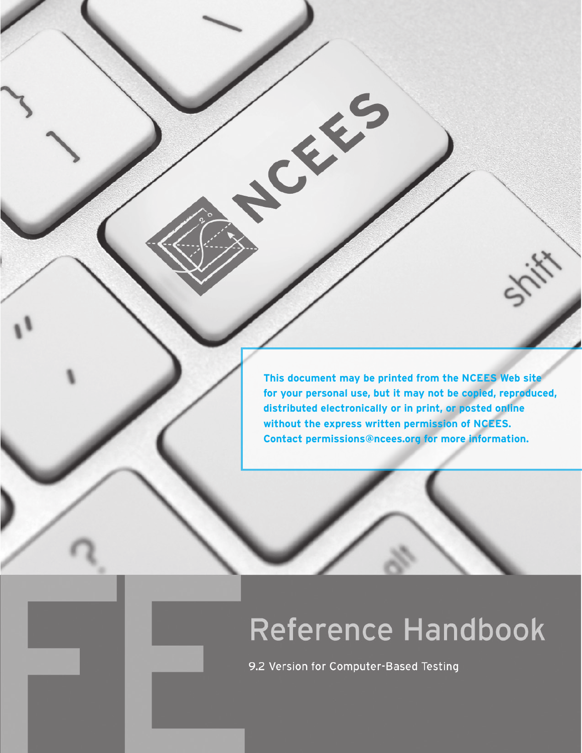**This document may be printed from the NCEES Web site for your personal use, but it may not be copied, reproduced, distributed electronically or in print, or posted online without the express written permission of NCEES. Contact permissions@ncees.org for more information.**

# Reference Handbook

9.2 Version for Computer-Based Testing

CE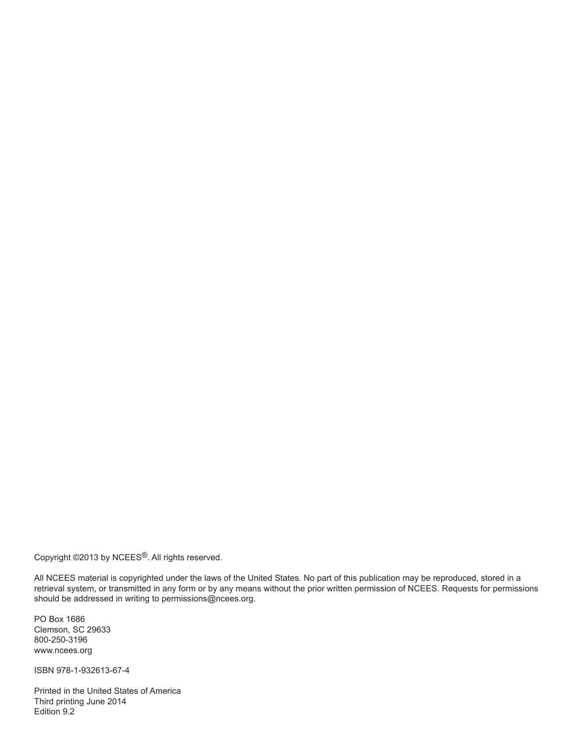Copyright ©2013 by NCEES®. All rights reserved.

All NCEES material is copyrighted under the laws of the United States. No part of this publication may be reproduced, stored in a retrieval system, or transmitted in any form or by any means without the prior written permission of NCEES. Requests for permissions should be addressed in writing to permissions@ncees.org.

PO Box 1686 Clemson, SC 29633 800-250-3196 www.ncees.org

ISBN 978-1-932613-67-4

Printed in the United States of America Third printing June 2014 Edition 9.2